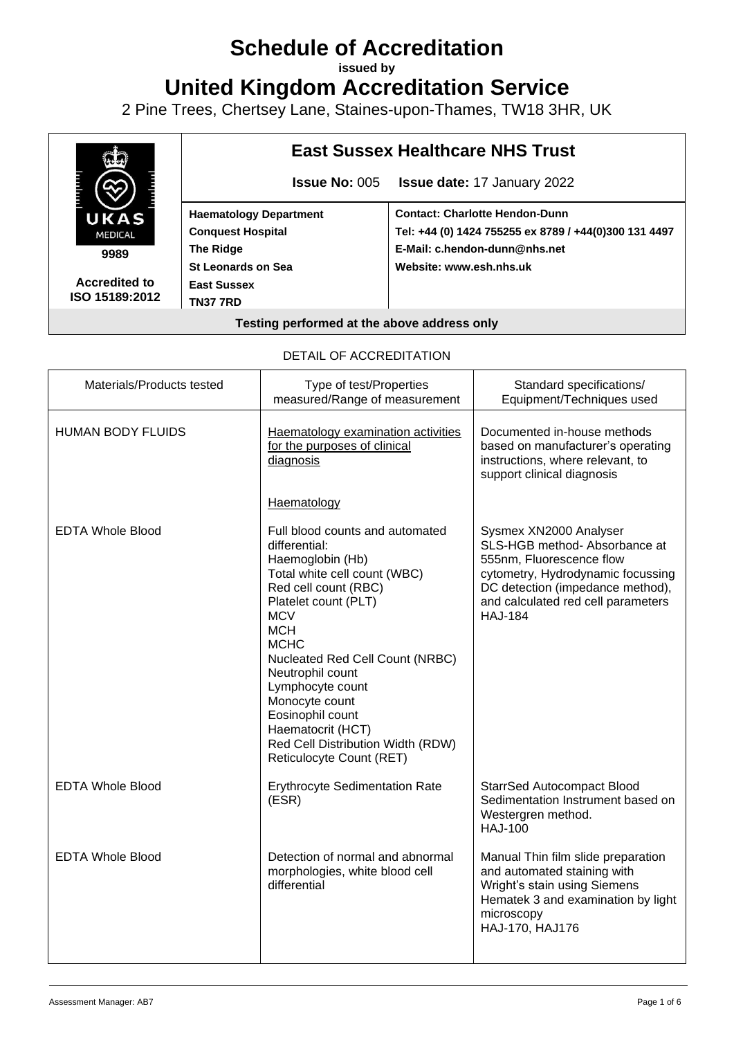# **Schedule of Accreditation**

**issued by**

**United Kingdom Accreditation Service**

2 Pine Trees, Chertsey Lane, Staines-upon-Thames, TW18 3HR, UK



DETAIL OF ACCREDITATION

| Materials/Products tested | Type of test/Properties<br>measured/Range of measurement                                                                                                                                                                                                                                                                                                                                               | Standard specifications/<br>Equipment/Techniques used                                                                                                                                                                |
|---------------------------|--------------------------------------------------------------------------------------------------------------------------------------------------------------------------------------------------------------------------------------------------------------------------------------------------------------------------------------------------------------------------------------------------------|----------------------------------------------------------------------------------------------------------------------------------------------------------------------------------------------------------------------|
| <b>HUMAN BODY FLUIDS</b>  | Haematology examination activities<br>for the purposes of clinical<br>diagnosis                                                                                                                                                                                                                                                                                                                        | Documented in-house methods<br>based on manufacturer's operating<br>instructions, where relevant, to<br>support clinical diagnosis                                                                                   |
|                           | Haematology                                                                                                                                                                                                                                                                                                                                                                                            |                                                                                                                                                                                                                      |
| <b>EDTA Whole Blood</b>   | Full blood counts and automated<br>differential:<br>Haemoglobin (Hb)<br>Total white cell count (WBC)<br>Red cell count (RBC)<br>Platelet count (PLT)<br><b>MCV</b><br><b>MCH</b><br><b>MCHC</b><br>Nucleated Red Cell Count (NRBC)<br>Neutrophil count<br>Lymphocyte count<br>Monocyte count<br>Eosinophil count<br>Haematocrit (HCT)<br>Red Cell Distribution Width (RDW)<br>Reticulocyte Count (RET) | Sysmex XN2000 Analyser<br>SLS-HGB method- Absorbance at<br>555nm, Fluorescence flow<br>cytometry, Hydrodynamic focussing<br>DC detection (impedance method),<br>and calculated red cell parameters<br><b>HAJ-184</b> |
| <b>EDTA Whole Blood</b>   | <b>Erythrocyte Sedimentation Rate</b><br>(ESR)                                                                                                                                                                                                                                                                                                                                                         | <b>StarrSed Autocompact Blood</b><br>Sedimentation Instrument based on<br>Westergren method.<br><b>HAJ-100</b>                                                                                                       |
| <b>EDTA Whole Blood</b>   | Detection of normal and abnormal<br>morphologies, white blood cell<br>differential                                                                                                                                                                                                                                                                                                                     | Manual Thin film slide preparation<br>and automated staining with<br>Wright's stain using Siemens<br>Hematek 3 and examination by light<br>microscopy<br>HAJ-170, HAJ176                                             |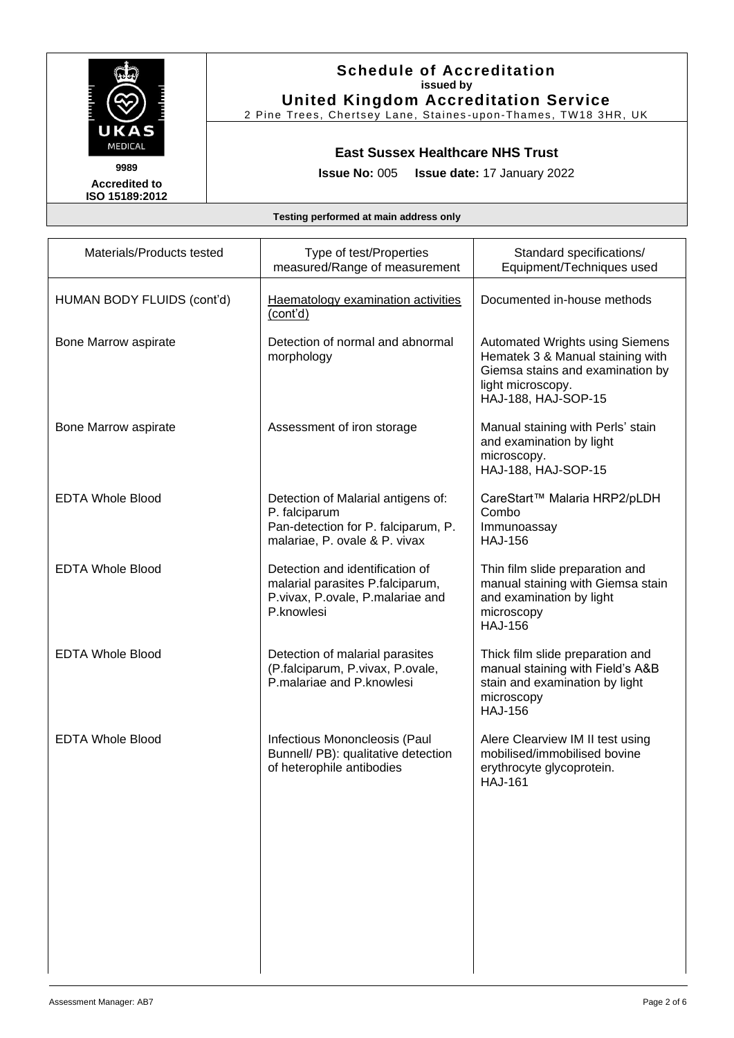

# **Schedule of Accreditation issued by United Kingdom Accreditation Service**

2 Pine Trees, Chertsey Lane, Staines -upon-Thames, TW18 3HR, UK

# **East Sussex Healthcare NHS Trust**

**Issue No:** 005 **Issue date:** 17 January 2022

**Accredited to ISO 15189:2012**

| Materials/Products tested  | Type of test/Properties<br>measured/Range of measurement                                                                    | Standard specifications/<br>Equipment/Techniques used                                                                                                      |
|----------------------------|-----------------------------------------------------------------------------------------------------------------------------|------------------------------------------------------------------------------------------------------------------------------------------------------------|
| HUMAN BODY FLUIDS (cont'd) | Haematology examination activities<br>(cont'd)                                                                              | Documented in-house methods                                                                                                                                |
| Bone Marrow aspirate       | Detection of normal and abnormal<br>morphology                                                                              | <b>Automated Wrights using Siemens</b><br>Hematek 3 & Manual staining with<br>Giemsa stains and examination by<br>light microscopy.<br>HAJ-188, HAJ-SOP-15 |
| Bone Marrow aspirate       | Assessment of iron storage                                                                                                  | Manual staining with Perls' stain<br>and examination by light<br>microscopy.<br>HAJ-188, HAJ-SOP-15                                                        |
| <b>EDTA Whole Blood</b>    | Detection of Malarial antigens of:<br>P. falciparum<br>Pan-detection for P. falciparum, P.<br>malariae, P. ovale & P. vivax | CareStart™ Malaria HRP2/pLDH<br>Combo<br>Immunoassay<br><b>HAJ-156</b>                                                                                     |
| <b>EDTA Whole Blood</b>    | Detection and identification of<br>malarial parasites P.falciparum,<br>P.vivax, P.ovale, P.malariae and<br>P.knowlesi       | Thin film slide preparation and<br>manual staining with Giemsa stain<br>and examination by light<br>microscopy<br><b>HAJ-156</b>                           |
| <b>EDTA Whole Blood</b>    | Detection of malarial parasites<br>(P.falciparum, P.vivax, P.ovale,<br>P.malariae and P.knowlesi                            | Thick film slide preparation and<br>manual staining with Field's A&B<br>stain and examination by light<br>microscopy<br><b>HAJ-156</b>                     |
| <b>EDTA Whole Blood</b>    | Infectious Mononcleosis (Paul<br>Bunnell/ PB): qualitative detection<br>of heterophile antibodies                           | Alere Clearview IM II test using<br>mobilised/immobilised bovine<br>erythrocyte glycoprotein.<br><b>HAJ-161</b>                                            |
|                            |                                                                                                                             |                                                                                                                                                            |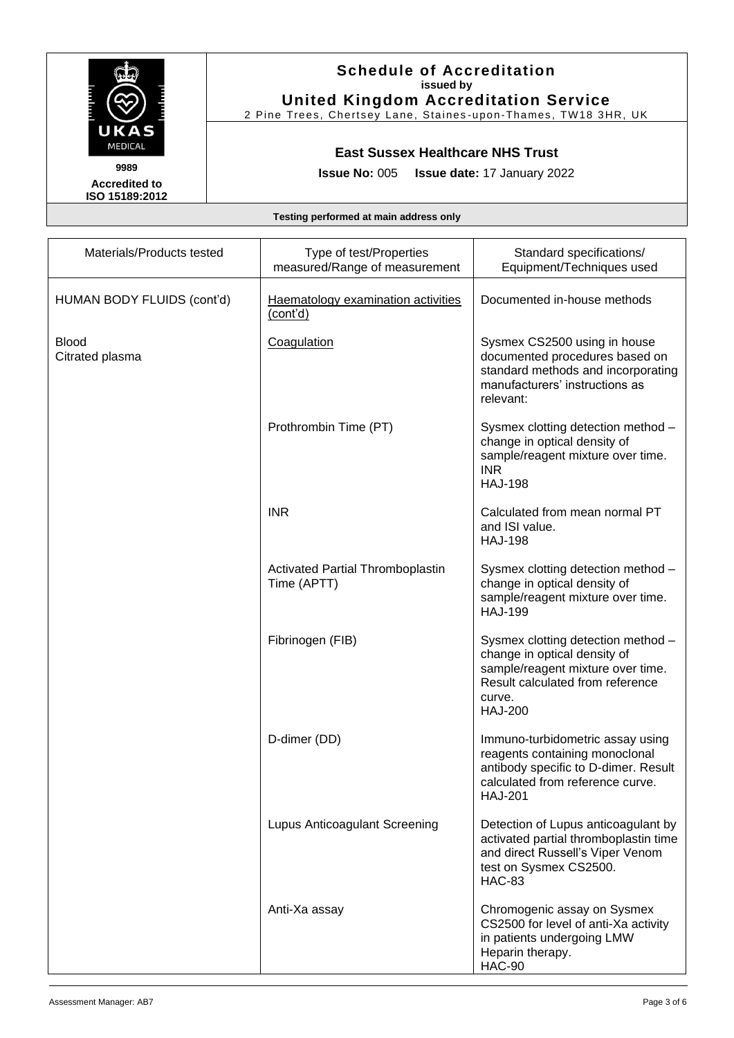

**Accredited to ISO 15189:2012**

# **Schedule of Accreditation issued by United Kingdom Accreditation Service**

2 Pine Trees, Chertsey Lane, Staines -upon-Thames, TW18 3HR, UK

# **East Sussex Healthcare NHS Trust**

**Issue No:** 005 **Issue date:** 17 January 2022

| Materials/Products tested       | Type of test/Properties<br>measured/Range of measurement | Standard specifications/<br>Equipment/Techniques used                                                                                                                   |
|---------------------------------|----------------------------------------------------------|-------------------------------------------------------------------------------------------------------------------------------------------------------------------------|
| HUMAN BODY FLUIDS (cont'd)      | Haematology examination activities<br>(cont'd)           | Documented in-house methods                                                                                                                                             |
| <b>Blood</b><br>Citrated plasma | Coagulation                                              | Sysmex CS2500 using in house<br>documented procedures based on<br>standard methods and incorporating<br>manufacturers' instructions as<br>relevant:                     |
|                                 | Prothrombin Time (PT)                                    | Sysmex clotting detection method -<br>change in optical density of<br>sample/reagent mixture over time.<br><b>INR</b><br><b>HAJ-198</b>                                 |
|                                 | <b>INR</b>                                               | Calculated from mean normal PT<br>and ISI value.<br><b>HAJ-198</b>                                                                                                      |
|                                 | <b>Activated Partial Thromboplastin</b><br>Time (APTT)   | Sysmex clotting detection method -<br>change in optical density of<br>sample/reagent mixture over time.<br><b>HAJ-199</b>                                               |
|                                 | Fibrinogen (FIB)                                         | Sysmex clotting detection method -<br>change in optical density of<br>sample/reagent mixture over time.<br>Result calculated from reference<br>curve.<br><b>HAJ-200</b> |
|                                 | D-dimer (DD)                                             | Immuno-turbidometric assay using<br>reagents containing monoclonal<br>antibody specific to D-dimer. Result<br>calculated from reference curve.<br><b>HAJ-201</b>        |
|                                 | Lupus Anticoagulant Screening                            | Detection of Lupus anticoagulant by<br>activated partial thromboplastin time<br>and direct Russell's Viper Venom<br>test on Sysmex CS2500.<br><b>HAC-83</b>             |
|                                 | Anti-Xa assay                                            | Chromogenic assay on Sysmex<br>CS2500 for level of anti-Xa activity<br>in patients undergoing LMW<br>Heparin therapy.<br><b>HAC-90</b>                                  |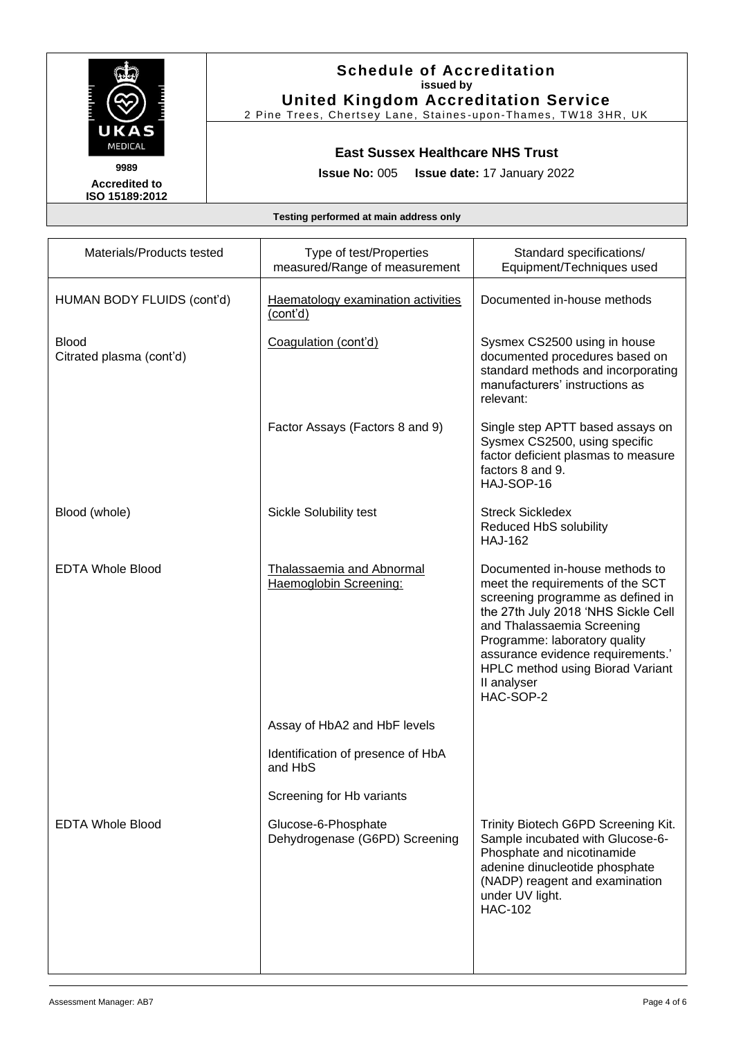

**Accredited to ISO 15189:2012**

# **Schedule of Accreditation issued by United Kingdom Accreditation Service**

2 Pine Trees, Chertsey Lane, Staines -upon-Thames, TW18 3HR, UK

# **East Sussex Healthcare NHS Trust**

**Issue No:** 005 **Issue date:** 17 January 2022

| Materials/Products tested         | Type of test/Properties<br>measured/Range of measurement | Standard specifications/<br>Equipment/Techniques used                                                                                                                                                                                                                                                              |
|-----------------------------------|----------------------------------------------------------|--------------------------------------------------------------------------------------------------------------------------------------------------------------------------------------------------------------------------------------------------------------------------------------------------------------------|
| HUMAN BODY FLUIDS (cont'd)        | Haematology examination activities<br>(cont'd)           | Documented in-house methods                                                                                                                                                                                                                                                                                        |
| Blood<br>Citrated plasma (cont'd) | Coagulation (cont'd)                                     | Sysmex CS2500 using in house<br>documented procedures based on<br>standard methods and incorporating<br>manufacturers' instructions as<br>relevant:                                                                                                                                                                |
|                                   | Factor Assays (Factors 8 and 9)                          | Single step APTT based assays on<br>Sysmex CS2500, using specific<br>factor deficient plasmas to measure<br>factors 8 and 9.<br>HAJ-SOP-16                                                                                                                                                                         |
| Blood (whole)                     | <b>Sickle Solubility test</b>                            | <b>Streck Sickledex</b><br>Reduced HbS solubility<br><b>HAJ-162</b>                                                                                                                                                                                                                                                |
| <b>EDTA Whole Blood</b>           | Thalassaemia and Abnormal<br>Haemoglobin Screening:      | Documented in-house methods to<br>meet the requirements of the SCT<br>screening programme as defined in<br>the 27th July 2018 'NHS Sickle Cell<br>and Thalassaemia Screening<br>Programme: laboratory quality<br>assurance evidence requirements.'<br>HPLC method using Biorad Variant<br>II analyser<br>HAC-SOP-2 |
|                                   | Assay of HbA2 and HbF levels                             |                                                                                                                                                                                                                                                                                                                    |
|                                   | Identification of presence of HbA<br>and HbS             |                                                                                                                                                                                                                                                                                                                    |
|                                   | Screening for Hb variants                                |                                                                                                                                                                                                                                                                                                                    |
| <b>EDTA Whole Blood</b>           | Glucose-6-Phosphate<br>Dehydrogenase (G6PD) Screening    | Trinity Biotech G6PD Screening Kit.<br>Sample incubated with Glucose-6-<br>Phosphate and nicotinamide<br>adenine dinucleotide phosphate<br>(NADP) reagent and examination<br>under UV light.<br><b>HAC-102</b>                                                                                                     |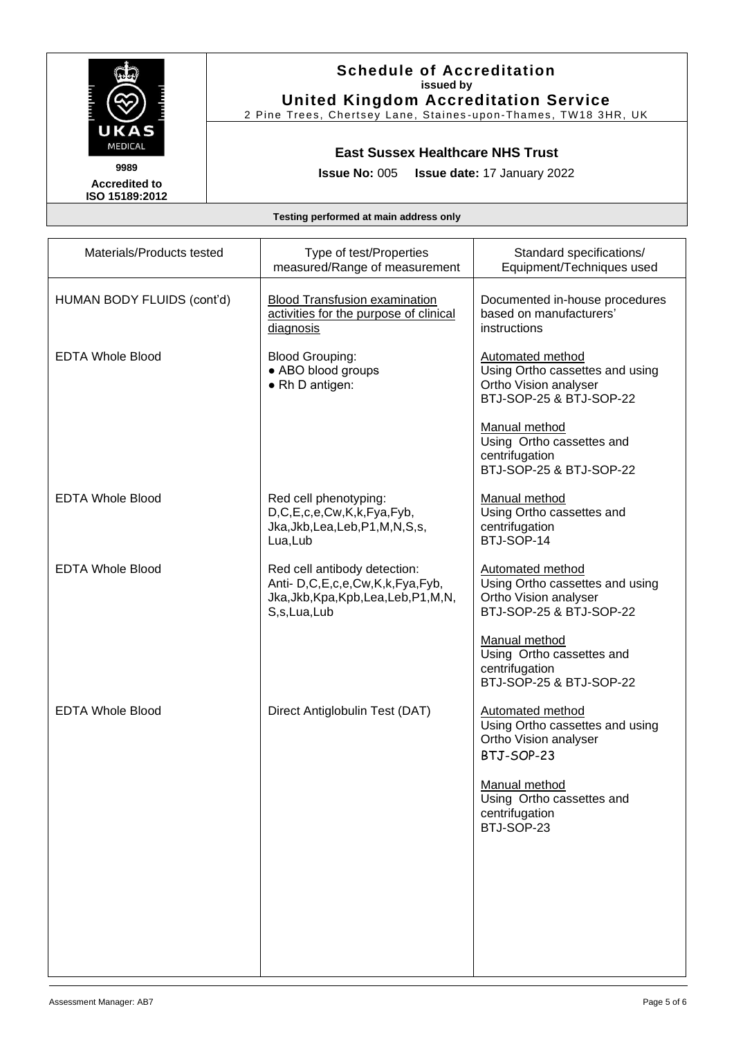

**Accredited to ISO 15189:2012**

# **Schedule of Accreditation issued by United Kingdom Accreditation Service**

2 Pine Trees, Chertsey Lane, Staines -upon-Thames, TW18 3HR, UK

# **East Sussex Healthcare NHS Trust**

**Issue No:** 005 **Issue date:** 17 January 2022

| Materials/Products tested  | Type of test/Properties<br>measured/Range of measurement                                                                  | Standard specifications/<br>Equipment/Techniques used                                                          |
|----------------------------|---------------------------------------------------------------------------------------------------------------------------|----------------------------------------------------------------------------------------------------------------|
| HUMAN BODY FLUIDS (cont'd) | <b>Blood Transfusion examination</b><br>activities for the purpose of clinical<br>diagnosis                               | Documented in-house procedures<br>based on manufacturers'<br>instructions                                      |
| <b>EDTA Whole Blood</b>    | <b>Blood Grouping:</b><br>• ABO blood groups<br>• Rh D antigen:                                                           | <b>Automated method</b><br>Using Ortho cassettes and using<br>Ortho Vision analyser<br>BTJ-SOP-25 & BTJ-SOP-22 |
|                            |                                                                                                                           | Manual method<br>Using Ortho cassettes and<br>centrifugation<br>BTJ-SOP-25 & BTJ-SOP-22                        |
| <b>EDTA Whole Blood</b>    | Red cell phenotyping:<br>D,C,E,c,e,Cw,K,k,Fya,Fyb,<br>Jka, Jkb, Lea, Leb, P1, M, N, S, s,<br>Lua, Lub                     | Manual method<br>Using Ortho cassettes and<br>centrifugation<br>BTJ-SOP-14                                     |
| <b>EDTA Whole Blood</b>    | Red cell antibody detection:<br>Anti- D,C,E,c,e,Cw,K,k,Fya,Fyb,<br>Jka, Jkb, Kpa, Kpb, Lea, Leb, P1, M, N,<br>S,s,Lua,Lub | <b>Automated method</b><br>Using Ortho cassettes and using<br>Ortho Vision analyser<br>BTJ-SOP-25 & BTJ-SOP-22 |
|                            |                                                                                                                           | Manual method<br>Using Ortho cassettes and<br>centrifugation<br>BTJ-SOP-25 & BTJ-SOP-22                        |
| <b>EDTA Whole Blood</b>    | Direct Antiglobulin Test (DAT)                                                                                            | <b>Automated method</b><br>Using Ortho cassettes and using<br>Ortho Vision analyser<br>BTJ-SOP-23              |
|                            |                                                                                                                           | Manual method<br>Using Ortho cassettes and<br>centrifugation<br>BTJ-SOP-23                                     |
|                            |                                                                                                                           |                                                                                                                |
|                            |                                                                                                                           |                                                                                                                |